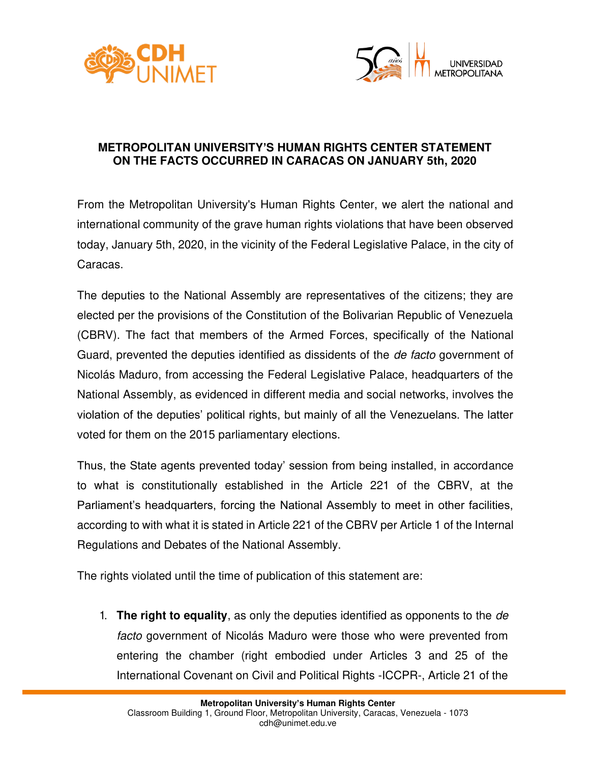



## **METROPOLITAN UNIVERSITY'S HUMAN RIGHTS CENTER STATEMENT ON THE FACTS OCCURRED IN CARACAS ON JANUARY 5th, 2020**

From the Metropolitan University's Human Rights Center, we alert the national and international community of the grave human rights violations that have been observed today, January 5th, 2020, in the vicinity of the Federal Legislative Palace, in the city of Caracas.

The deputies to the National Assembly are representatives of the citizens; they are elected per the provisions of the Constitution of the Bolivarian Republic of Venezuela (CBRV). The fact that members of the Armed Forces, specifically of the National Guard, prevented the deputies identified as dissidents of the de facto government of Nicolás Maduro, from accessing the Federal Legislative Palace, headquarters of the National Assembly, as evidenced in different media and social networks, involves the violation of the deputies' political rights, but mainly of all the Venezuelans. The latter voted for them on the 2015 parliamentary elections.

Thus, the State agents prevented today' session from being installed, in accordance to what is constitutionally established in the Article 221 of the CBRV, at the Parliament's headquarters, forcing the National Assembly to meet in other facilities, according to with what it is stated in Article 221 of the CBRV per Article 1 of the Internal Regulations and Debates of the National Assembly.

The rights violated until the time of publication of this statement are:

1. **The right to equality**, as only the deputies identified as opponents to the de facto government of Nicolás Maduro were those who were prevented from entering the chamber (right embodied under Articles 3 and 25 of the International Covenant on Civil and Political Rights -ICCPR-, Article 21 of the